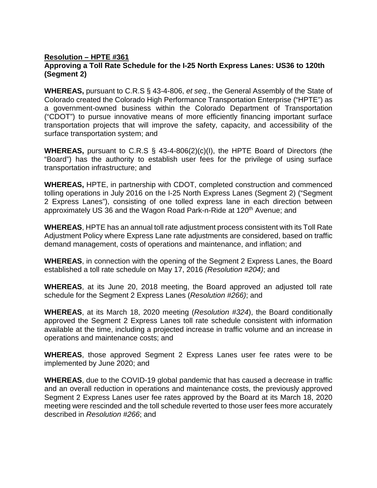## **Resolution – HPTE #361 Approving a Toll Rate Schedule for the I-25 North Express Lanes: US36 to 120th (Segment 2)**

**WHEREAS,** pursuant to C.R.S § 43-4-806, *et seq.*, the General Assembly of the State of Colorado created the Colorado High Performance Transportation Enterprise ("HPTE") as a government-owned business within the Colorado Department of Transportation ("CDOT") to pursue innovative means of more efficiently financing important surface transportation projects that will improve the safety, capacity, and accessibility of the surface transportation system; and

**WHEREAS,** pursuant to C.R.S § 43-4-806(2)(c)(I), the HPTE Board of Directors (the "Board") has the authority to establish user fees for the privilege of using surface transportation infrastructure; and

**WHEREAS,** HPTE, in partnership with CDOT, completed construction and commenced tolling operations in July 2016 on the I-25 North Express Lanes (Segment 2) ("Segment 2 Express Lanes"), consisting of one tolled express lane in each direction between approximately US 36 and the Wagon Road Park-n-Ride at 120<sup>th</sup> Avenue; and

**WHEREAS**, HPTE has an annual toll rate adjustment process consistent with its Toll Rate Adjustment Policy where Express Lane rate adjustments are considered, based on traffic demand management, costs of operations and maintenance, and inflation; and

**WHEREAS**, in connection with the opening of the Segment 2 Express Lanes, the Board established a toll rate schedule on May 17, 2016 *(Resolution #204)*; and

**WHEREAS**, at its June 20, 2018 meeting, the Board approved an adjusted toll rate schedule for the Segment 2 Express Lanes (*Resolution #266)*; and

**WHEREAS**, at its March 18, 2020 meeting (*Resolution #324*), the Board conditionally approved the Segment 2 Express Lanes toll rate schedule consistent with information available at the time, including a projected increase in traffic volume and an increase in operations and maintenance costs; and

**WHEREAS**, those approved Segment 2 Express Lanes user fee rates were to be implemented by June 2020; and

**WHEREAS**, due to the COVID-19 global pandemic that has caused a decrease in traffic and an overall reduction in operations and maintenance costs, the previously approved Segment 2 Express Lanes user fee rates approved by the Board at its March 18, 2020 meeting were rescinded and the toll schedule reverted to those user fees more accurately described in *Resolution #266*; and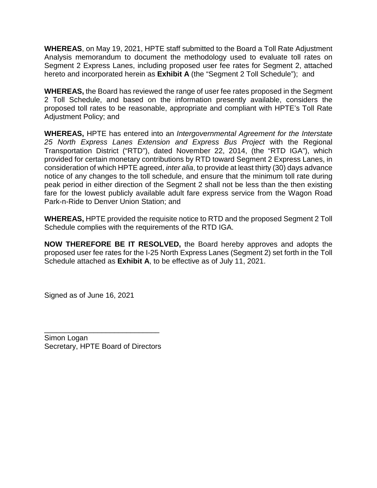**WHEREAS**, on May 19, 2021, HPTE staff submitted to the Board a Toll Rate Adjustment Analysis memorandum to document the methodology used to evaluate toll rates on Segment 2 Express Lanes, including proposed user fee rates for Segment 2, attached hereto and incorporated herein as **Exhibit A** (the "Segment 2 Toll Schedule"); and

**WHEREAS,** the Board has reviewed the range of user fee rates proposed in the Segment 2 Toll Schedule, and based on the information presently available, considers the proposed toll rates to be reasonable, appropriate and compliant with HPTE's Toll Rate Adjustment Policy; and

**WHEREAS,** HPTE has entered into an *Intergovernmental Agreement for the Interstate 25 North Express Lanes Extension and Express Bus Project* with the Regional Transportation District ("RTD"), dated November 22, 2014, (the "RTD IGA"), which provided for certain monetary contributions by RTD toward Segment 2 Express Lanes, in consideration of which HPTE agreed, *inter alia*, to provide at least thirty (30) days advance notice of any changes to the toll schedule, and ensure that the minimum toll rate during peak period in either direction of the Segment 2 shall not be less than the then existing fare for the lowest publicly available adult fare express service from the Wagon Road Park-n-Ride to Denver Union Station; and

**WHEREAS,** HPTE provided the requisite notice to RTD and the proposed Segment 2 Toll Schedule complies with the requirements of the RTD IGA.

**NOW THEREFORE BE IT RESOLVED,** the Board hereby approves and adopts the proposed user fee rates for the I-25 North Express Lanes (Segment 2) set forth in the Toll Schedule attached as **Exhibit A**, to be effective as of July 11, 2021.

Signed as of June 16, 2021

\_\_\_\_\_\_\_\_\_\_\_\_\_\_\_\_\_\_\_\_\_\_\_\_\_\_\_\_ Simon Logan Secretary, HPTE Board of Directors